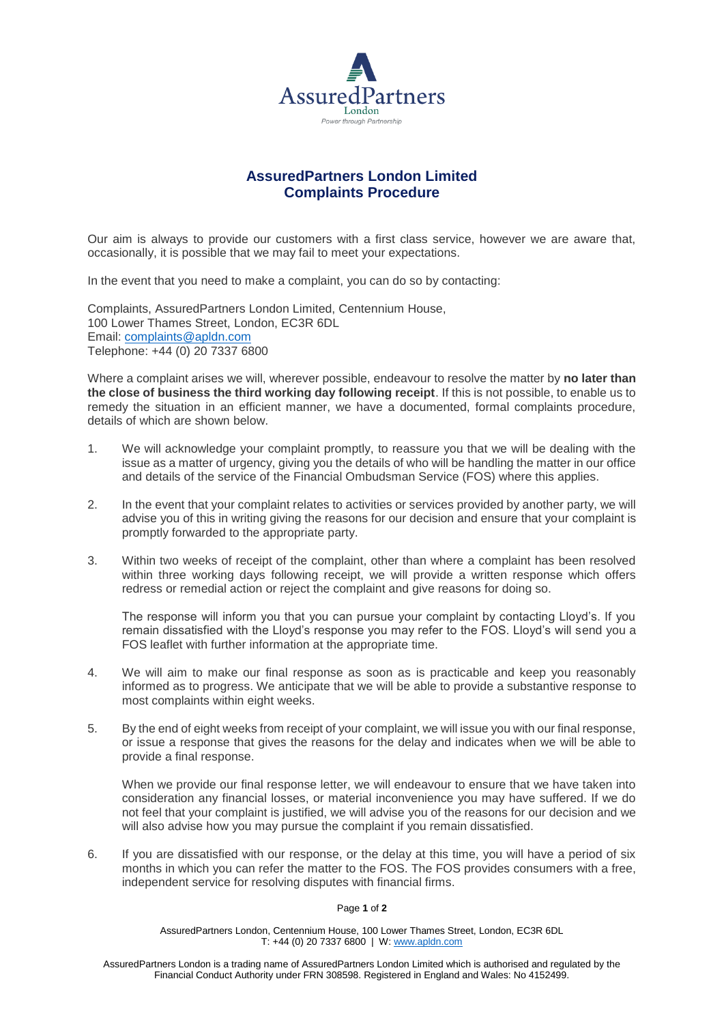

# **AssuredPartners London Limited Complaints Procedure**

Our aim is always to provide our customers with a first class service, however we are aware that, occasionally, it is possible that we may fail to meet your expectations.

In the event that you need to make a complaint, you can do so by contacting:

Complaints, AssuredPartners London Limited, Centennium House, 100 Lower Thames Street, London, EC3R 6DL Email: [complaints@apldn.com](mailto:complaints@apldn.com) Telephone: +44 (0) 20 7337 6800

Where a complaint arises we will, wherever possible, endeavour to resolve the matter by **no later than the close of business the third working day following receipt**. If this is not possible, to enable us to remedy the situation in an efficient manner, we have a documented, formal complaints procedure, details of which are shown below.

- 1. We will acknowledge your complaint promptly, to reassure you that we will be dealing with the issue as a matter of urgency, giving you the details of who will be handling the matter in our office and details of the service of the Financial Ombudsman Service (FOS) where this applies.
- 2. In the event that your complaint relates to activities or services provided by another party, we will advise you of this in writing giving the reasons for our decision and ensure that your complaint is promptly forwarded to the appropriate party.
- 3. Within two weeks of receipt of the complaint, other than where a complaint has been resolved within three working days following receipt, we will provide a written response which offers redress or remedial action or reject the complaint and give reasons for doing so.

The response will inform you that you can pursue your complaint by contacting Lloyd's. If you remain dissatisfied with the Lloyd's response you may refer to the FOS. Lloyd's will send you a FOS leaflet with further information at the appropriate time.

- 4. We will aim to make our final response as soon as is practicable and keep you reasonably informed as to progress. We anticipate that we will be able to provide a substantive response to most complaints within eight weeks.
- 5. By the end of eight weeks from receipt of your complaint, we will issue you with our final response, or issue a response that gives the reasons for the delay and indicates when we will be able to provide a final response.

When we provide our final response letter, we will endeavour to ensure that we have taken into consideration any financial losses, or material inconvenience you may have suffered. If we do not feel that your complaint is justified, we will advise you of the reasons for our decision and we will also advise how you may pursue the complaint if you remain dissatisfied.

6. If you are dissatisfied with our response, or the delay at this time, you will have a period of six months in which you can refer the matter to the FOS. The FOS provides consumers with a free, independent service for resolving disputes with financial firms.

#### Page **1** of **2**

AssuredPartners London, Centennium House, 100 Lower Thames Street, London, EC3R 6DL T: +44 (0) 20 7337 6800 | W: [www.apldn.com](http://www.apldn.com/)